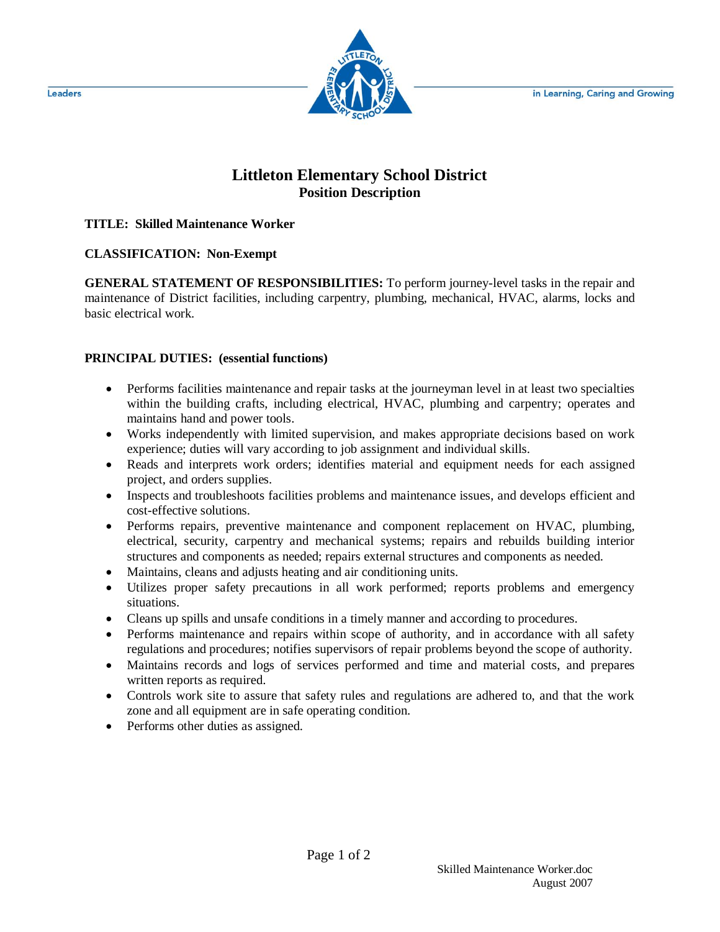in Learning, Caring and Growing



# **Littleton Elementary School District Position Description**

#### **TITLE: Skilled Maintenance Worker**

## **CLASSIFICATION: Non-Exempt**

**GENERAL STATEMENT OF RESPONSIBILITIES:** To perform journey-level tasks in the repair and maintenance of District facilities, including carpentry, plumbing, mechanical, HVAC, alarms, locks and basic electrical work.

## **PRINCIPAL DUTIES: (essential functions)**

- Performs facilities maintenance and repair tasks at the journeyman level in at least two specialties within the building crafts, including electrical, HVAC, plumbing and carpentry; operates and maintains hand and power tools.
- Works independently with limited supervision, and makes appropriate decisions based on work experience; duties will vary according to job assignment and individual skills.
- Reads and interprets work orders; identifies material and equipment needs for each assigned project, and orders supplies.
- Inspects and troubleshoots facilities problems and maintenance issues, and develops efficient and cost-effective solutions.
- Performs repairs, preventive maintenance and component replacement on HVAC, plumbing, electrical, security, carpentry and mechanical systems; repairs and rebuilds building interior structures and components as needed; repairs external structures and components as needed.
- Maintains, cleans and adjusts heating and air conditioning units.
- Utilizes proper safety precautions in all work performed; reports problems and emergency situations.
- Cleans up spills and unsafe conditions in a timely manner and according to procedures.
- Performs maintenance and repairs within scope of authority, and in accordance with all safety regulations and procedures; notifies supervisors of repair problems beyond the scope of authority.
- Maintains records and logs of services performed and time and material costs, and prepares written reports as required.
- Controls work site to assure that safety rules and regulations are adhered to, and that the work zone and all equipment are in safe operating condition.
- Performs other duties as assigned.

Leaders